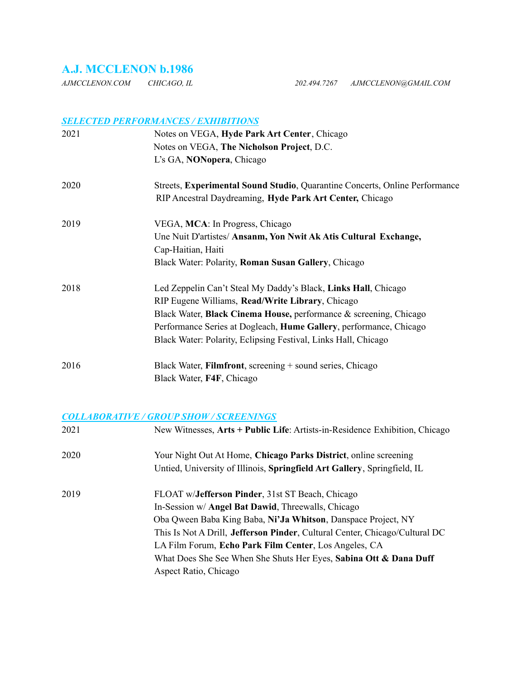# **A.J. MCCLENON b.1986**

*AJMCCLENON.COM CHICAGO, IL 202.494.7267 AJMCCLENON@GMAIL.COM*

### *SELECTED PERFORMANCES / EXHIBITIONS*

| 2021 | Notes on VEGA, Hyde Park Art Center, Chicago                                |  |
|------|-----------------------------------------------------------------------------|--|
|      | Notes on VEGA, The Nicholson Project, D.C.                                  |  |
|      | L's GA, NONopera, Chicago                                                   |  |
| 2020 | Streets, Experimental Sound Studio, Quarantine Concerts, Online Performance |  |
|      | RIP Ancestral Daydreaming, Hyde Park Art Center, Chicago                    |  |
| 2019 | VEGA, MCA: In Progress, Chicago                                             |  |
|      | Une Nuit D'artistes/ Ansanm, Yon Nwit Ak Atis Cultural Exchange,            |  |
|      | Cap-Haitian, Haiti                                                          |  |
|      | Black Water: Polarity, Roman Susan Gallery, Chicago                         |  |
| 2018 | Led Zeppelin Can't Steal My Daddy's Black, Links Hall, Chicago              |  |
|      | RIP Eugene Williams, Read/Write Library, Chicago                            |  |
|      | Black Water, <b>Black Cinema House</b> , performance & screening, Chicago   |  |
|      | Performance Series at Dogleach, Hume Gallery, performance, Chicago          |  |
|      | Black Water: Polarity, Eclipsing Festival, Links Hall, Chicago              |  |
| 2016 | Black Water, Filmfront, screening + sound series, Chicago                   |  |
|      | Black Water, F4F, Chicago                                                   |  |

#### *COLLABORATIVE / GROUP SHOW / SCREENINGS*

| 2021 | New Witnesses, Arts + Public Life: Artists-in-Residence Exhibition, Chicago         |
|------|-------------------------------------------------------------------------------------|
| 2020 | Your Night Out At Home, Chicago Parks District, online screening                    |
|      | Untied, University of Illinois, Springfield Art Gallery, Springfield, IL            |
| 2019 | FLOAT w/ <b>Jefferson Pinder</b> , 31st ST Beach, Chicago                           |
|      | In-Session w/ <b>Angel Bat Dawid</b> , Threewalls, Chicago                          |
|      | Oba Qween Baba King Baba, Ni'Ja Whitson, Danspace Project, NY                       |
|      | This Is Not A Drill, <b>Jefferson Pinder</b> , Cultural Center, Chicago/Cultural DC |
|      | LA Film Forum, Echo Park Film Center, Los Angeles, CA                               |
|      | What Does She See When She Shuts Her Eyes, Sabina Ott & Dana Duff                   |
|      | Aspect Ratio, Chicago                                                               |
|      |                                                                                     |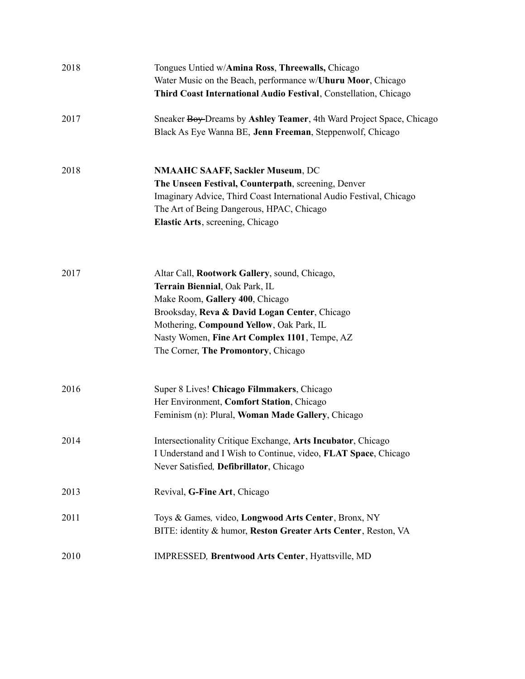| 2018 | Tongues Untied w/Amina Ross, Threewalls, Chicago<br>Water Music on the Beach, performance w/Uhuru Moor, Chicago<br>Third Coast International Audio Festival, Constellation, Chicago                                                                                                                     |
|------|---------------------------------------------------------------------------------------------------------------------------------------------------------------------------------------------------------------------------------------------------------------------------------------------------------|
| 2017 | Sneaker Boy-Dreams by Ashley Teamer, 4th Ward Project Space, Chicago<br>Black As Eye Wanna BE, Jenn Freeman, Steppenwolf, Chicago                                                                                                                                                                       |
| 2018 | <b>NMAAHC SAAFF, Sackler Museum, DC</b><br>The Unseen Festival, Counterpath, screening, Denver<br>Imaginary Advice, Third Coast International Audio Festival, Chicago<br>The Art of Being Dangerous, HPAC, Chicago<br>Elastic Arts, screening, Chicago                                                  |
| 2017 | Altar Call, Rootwork Gallery, sound, Chicago,<br>Terrain Biennial, Oak Park, IL<br>Make Room, Gallery 400, Chicago<br>Brooksday, Reva & David Logan Center, Chicago<br>Mothering, Compound Yellow, Oak Park, IL<br>Nasty Women, Fine Art Complex 1101, Tempe, AZ<br>The Corner, The Promontory, Chicago |
| 2016 | Super 8 Lives! Chicago Filmmakers, Chicago<br>Her Environment, Comfort Station, Chicago<br>Feminism (n): Plural, Woman Made Gallery, Chicago                                                                                                                                                            |
| 2014 | Intersectionality Critique Exchange, Arts Incubator, Chicago<br>I Understand and I Wish to Continue, video, FLAT Space, Chicago<br>Never Satisfied, Defibrillator, Chicago                                                                                                                              |
| 2013 | Revival, G-Fine Art, Chicago                                                                                                                                                                                                                                                                            |
| 2011 | Toys & Games, video, Longwood Arts Center, Bronx, NY<br>BITE: identity & humor, Reston Greater Arts Center, Reston, VA                                                                                                                                                                                  |
| 2010 | IMPRESSED, Brentwood Arts Center, Hyattsville, MD                                                                                                                                                                                                                                                       |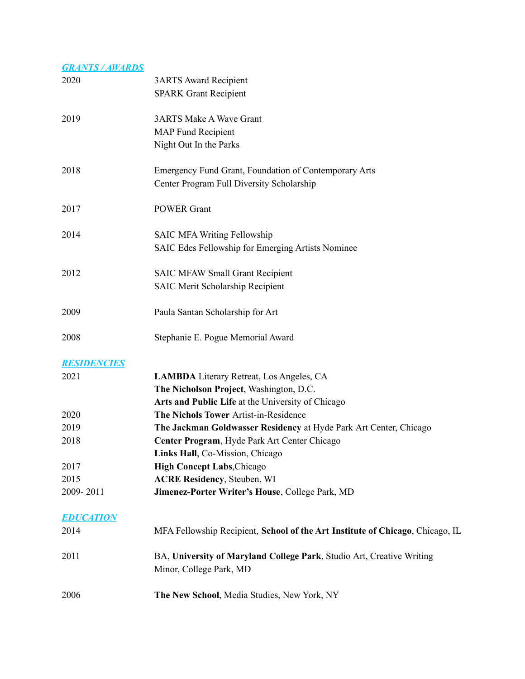| <b>GRANTS / AWARDS</b> |                                                                               |
|------------------------|-------------------------------------------------------------------------------|
| 2020                   | <b>3ARTS Award Recipient</b>                                                  |
|                        | <b>SPARK Grant Recipient</b>                                                  |
|                        |                                                                               |
| 2019                   | <b>3ARTS Make A Wave Grant</b>                                                |
|                        | <b>MAP Fund Recipient</b>                                                     |
|                        | Night Out In the Parks                                                        |
|                        |                                                                               |
| 2018                   | Emergency Fund Grant, Foundation of Contemporary Arts                         |
|                        | Center Program Full Diversity Scholarship                                     |
|                        |                                                                               |
| 2017                   | <b>POWER Grant</b>                                                            |
|                        |                                                                               |
| 2014                   | <b>SAIC MFA Writing Fellowship</b>                                            |
|                        |                                                                               |
|                        | SAIC Edes Fellowship for Emerging Artists Nominee                             |
|                        |                                                                               |
| 2012                   | <b>SAIC MFAW Small Grant Recipient</b>                                        |
|                        | <b>SAIC Merit Scholarship Recipient</b>                                       |
| 2009                   |                                                                               |
|                        | Paula Santan Scholarship for Art                                              |
| 2008                   | Stephanie E. Pogue Memorial Award                                             |
|                        |                                                                               |
| <b>RESIDENCIES</b>     |                                                                               |
| 2021                   | LAMBDA Literary Retreat, Los Angeles, CA                                      |
|                        | The Nicholson Project, Washington, D.C.                                       |
|                        | Arts and Public Life at the University of Chicago                             |
|                        |                                                                               |
| 2020                   | The Nichols Tower Artist-in-Residence                                         |
| 2019                   | The Jackman Goldwasser Residency at Hyde Park Art Center, Chicago             |
| 2018                   | Center Program, Hyde Park Art Center Chicago                                  |
|                        | Links Hall, Co-Mission, Chicago                                               |
| 2017                   | <b>High Concept Labs, Chicago</b>                                             |
| 2015                   | <b>ACRE Residency</b> , Steuben, WI                                           |
| 2009-2011              | Jimenez-Porter Writer's House, College Park, MD                               |
|                        |                                                                               |
| <b>EDUCATION</b>       |                                                                               |
| 2014                   | MFA Fellowship Recipient, School of the Art Institute of Chicago, Chicago, IL |
| 2011                   | BA, University of Maryland College Park, Studio Art, Creative Writing         |
|                        | Minor, College Park, MD                                                       |
|                        |                                                                               |
| 2006                   | The New School, Media Studies, New York, NY                                   |
|                        |                                                                               |